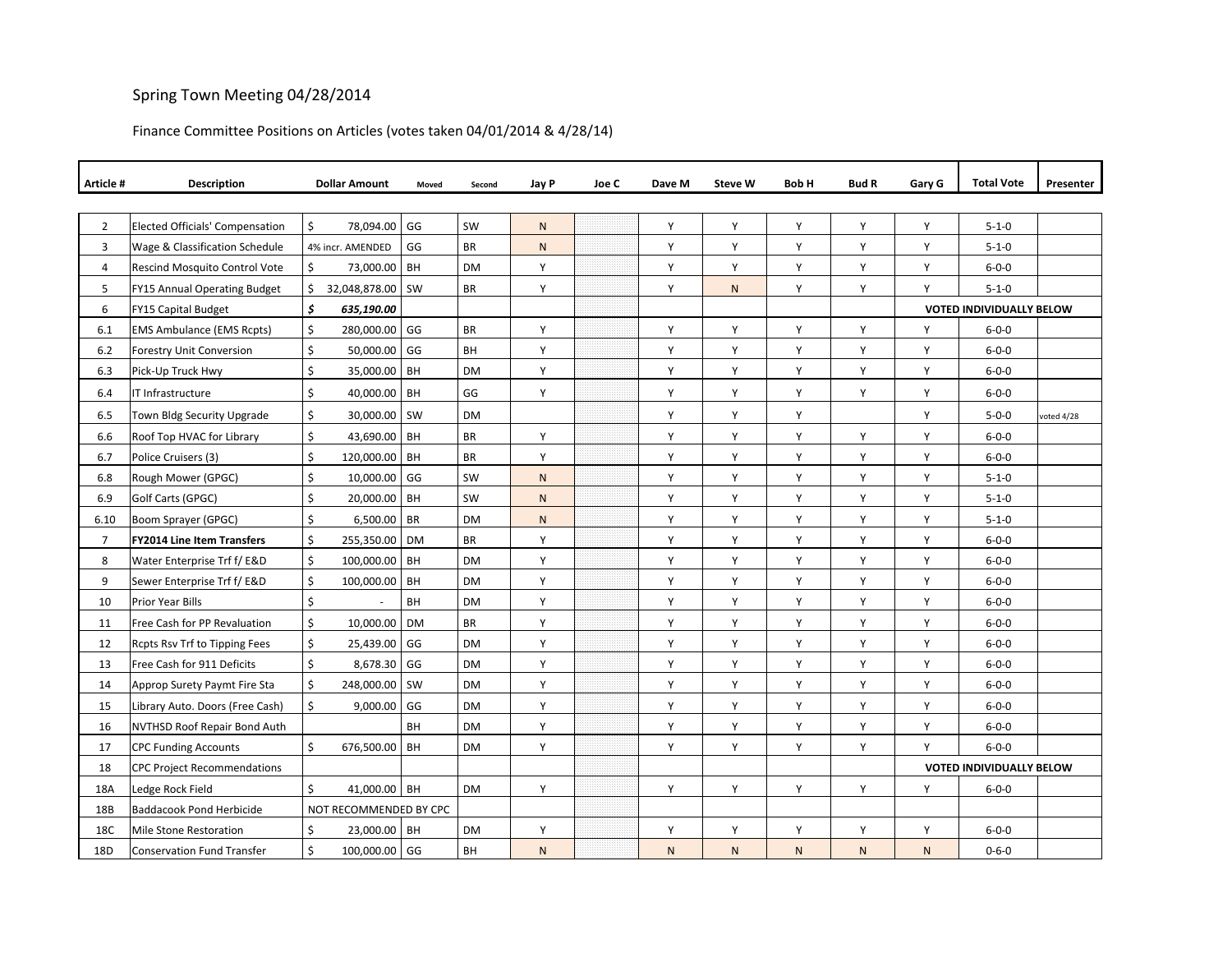## Spring Town Meeting 04/28/2014

## Finance Committee Positions on Articles (votes taken 04/01/2014 & 4/28/14)

| Article #      | <b>Description</b>                     |                    | <b>Dollar Amount</b>   | Moved     | Second    | Jay P        | Joe C | Dave M | <b>Steve W</b> | Bob H        | <b>Bud R</b> | Gary G                          | <b>Total Vote</b>               | Presenter  |
|----------------|----------------------------------------|--------------------|------------------------|-----------|-----------|--------------|-------|--------|----------------|--------------|--------------|---------------------------------|---------------------------------|------------|
|                |                                        |                    |                        |           |           |              |       |        |                |              |              |                                 |                                 |            |
| $\overline{2}$ | <b>Elected Officials' Compensation</b> | \$                 | 78,094.00              | GG        | SW        | ${\sf N}$    |       | Y      | Υ              | Y            | Y            | Υ                               | $5 - 1 - 0$                     |            |
| 3              | Wage & Classification Schedule         |                    | 4% incr. AMENDED       | GG        | <b>BR</b> | $\mathsf{N}$ |       | Y      | Υ              | Y            | Y            | Υ                               | $5 - 1 - 0$                     |            |
| $\overline{4}$ | <b>Rescind Mosquito Control Vote</b>   | $\mathsf{\hat{S}}$ | 73,000.00 BH           |           | <b>DM</b> | Y            |       | Y      | Y              | Y            | Y            | Y                               | $6 - 0 - 0$                     |            |
| 5              | FY15 Annual Operating Budget           | Ś.                 | 32,048,878.00 SW       |           | BR        | Y            |       | Y      | $\mathsf{N}$   | Y            | Y            | Y                               | $5 - 1 - 0$                     |            |
| 6              | FY15 Capital Budget                    | \$<br>635,190.00   |                        |           |           |              |       |        |                |              |              | <b>VOTED INDIVIDUALLY BELOW</b> |                                 |            |
| 6.1            | <b>EMS Ambulance (EMS Rcpts)</b>       | \$                 | 280,000.00 GG          |           | BR        | Υ            |       | Υ      | Υ              | Υ            | Υ            | Y                               | $6 - 0 - 0$                     |            |
| $6.2$          | Forestry Unit Conversion               | \$                 | 50,000.00              | GG        | BH        | Y            |       | Υ      | Υ              | Y            | Y            | Y                               | $6 - 0 - 0$                     |            |
| 6.3            | Pick-Up Truck Hwy                      | \$                 | 35,000.00 BH           |           | <b>DM</b> | Y            |       | Y      | Y              | Y            | Y            | Y                               | $6 - 0 - 0$                     |            |
| 6.4            | IT Infrastructure                      | \$                 | 40,000.00 BH           |           | GG        | Υ            |       | Y      | Υ              | Y            | Y            | Υ                               | $6 - 0 - 0$                     |            |
| 6.5            | Town Bldg Security Upgrade             | \$                 | 30,000.00 SW           |           | <b>DM</b> |              |       | Y      | Υ              | Y            |              | Y                               | $5 - 0 - 0$                     | voted 4/28 |
| 6.6            | Roof Top HVAC for Library              | \$                 | 43,690.00 BH           |           | BR        | Υ            |       | Y      | Υ              | Y            | Υ            | Y                               | $6 - 0 - 0$                     |            |
| 6.7            | Police Cruisers (3)                    | \$                 | 120,000.00 BH          |           | BR        | Υ            |       | Y      | Υ              | Y            | Y            | Υ                               | $6 - 0 - 0$                     |            |
| 6.8            | Rough Mower (GPGC)                     | \$                 | 10,000.00 GG           |           | SW        | ${\sf N}$    |       | Y      | Υ              | Y            | Y            | Υ                               | $5 - 1 - 0$                     |            |
| 6.9            | Golf Carts (GPGC)                      | \$                 | 20,000.00 BH           |           | SW        | ${\sf N}$    |       | Υ      | Υ              | Y            | Y            | Υ                               | $5 - 1 - 0$                     |            |
| 6.10           | Boom Sprayer (GPGC)                    | \$                 | 6,500.00               | <b>BR</b> | <b>DM</b> | ${\sf N}$    |       | Υ      | Υ              | Y            | Y            | Υ                               | $5 - 1 - 0$                     |            |
| $\overline{7}$ | <b>FY2014 Line Item Transfers</b>      | \$                 | 255,350.00 DM          |           | <b>BR</b> | Y            |       | Y      | Y              | Y            | Y            | Y                               | $6 - 0 - 0$                     |            |
| 8              | Water Enterprise Trf f/ E&D            | \$                 | 100,000.00 BH          |           | <b>DM</b> | Y            |       | Y      | Y              | Y            | Υ            | Y                               | $6 - 0 - 0$                     |            |
| 9              | Sewer Enterprise Trf f/ E&D            | \$                 | 100,000.00             | <b>BH</b> | DM        | Υ            |       | Y      | Υ              | Y            | Υ            | Υ                               | $6 - 0 - 0$                     |            |
| 10             | Prior Year Bills                       | \$                 |                        | BH        | DM        | Υ            |       | Υ      | Υ              | Y            | Y            | Y                               | $6 - 0 - 0$                     |            |
| 11             | Free Cash for PP Revaluation           | \$                 | 10,000.00 DM           |           | BR        | Υ            |       | Υ      | Υ              | Υ            | Y            | Υ                               | $6 - 0 - 0$                     |            |
| 12             | Rcpts Rsv Trf to Tipping Fees          | \$                 | 25,439.00 GG           |           | <b>DM</b> | Υ            |       | Y      | Υ              | Y            | Υ            | Y                               | $6 - 0 - 0$                     |            |
| 13             | Free Cash for 911 Deficits             | \$                 | 8,678.30               | GG        | <b>DM</b> | Υ            |       | Y      | Υ              | Y            | Y            | Υ                               | $6 - 0 - 0$                     |            |
| 14             | Approp Surety Paymt Fire Sta           | \$                 | 248,000.00 SW          |           | <b>DM</b> | Υ            |       | Υ      | Y              | Y            | Υ            | Y                               | $6 - 0 - 0$                     |            |
| 15             | Library Auto. Doors (Free Cash)        | \$                 | 9,000.00               | GG        | <b>DM</b> | Y            |       | Y      | Y              | Y            | Y            | Y                               | $6 - 0 - 0$                     |            |
| 16             | <b>NVTHSD Roof Repair Bond Auth</b>    |                    |                        | BH        | DM        | Υ            |       | Υ      | Υ              | Υ            | Y            | Y                               | $6 - 0 - 0$                     |            |
| 17             | <b>CPC Funding Accounts</b>            | \$                 | 676,500.00 BH          |           | DM        | Υ            |       | Y      | Y              | Y            | Y            | Y                               | $6 - 0 - 0$                     |            |
| 18             | <b>CPC Project Recommendations</b>     |                    |                        |           |           |              |       |        |                |              |              |                                 | <b>VOTED INDIVIDUALLY BELOW</b> |            |
| 18A            | Ledge Rock Field                       | \$                 | 41,000.00 BH           |           | <b>DM</b> | Υ            |       | Y      | Υ              | Y            | Y            | Y                               | $6 - 0 - 0$                     |            |
| 18B            | <b>Baddacook Pond Herbicide</b>        |                    | NOT RECOMMENDED BY CPC |           |           |              |       |        |                |              |              |                                 |                                 |            |
| 18C            | <b>Mile Stone Restoration</b>          | \$                 | 23,000.00 BH           |           | <b>DM</b> | Y            |       | Y      | Y              | Y            | Y            | Y                               | $6 - 0 - 0$                     |            |
| 18D            | <b>Conservation Fund Transfer</b>      | \$                 | 100,000.00 GG          |           | BH        | $\mathsf{N}$ |       | N      | N              | $\mathsf{N}$ | $\mathsf{N}$ | N.                              | $0 - 6 - 0$                     |            |